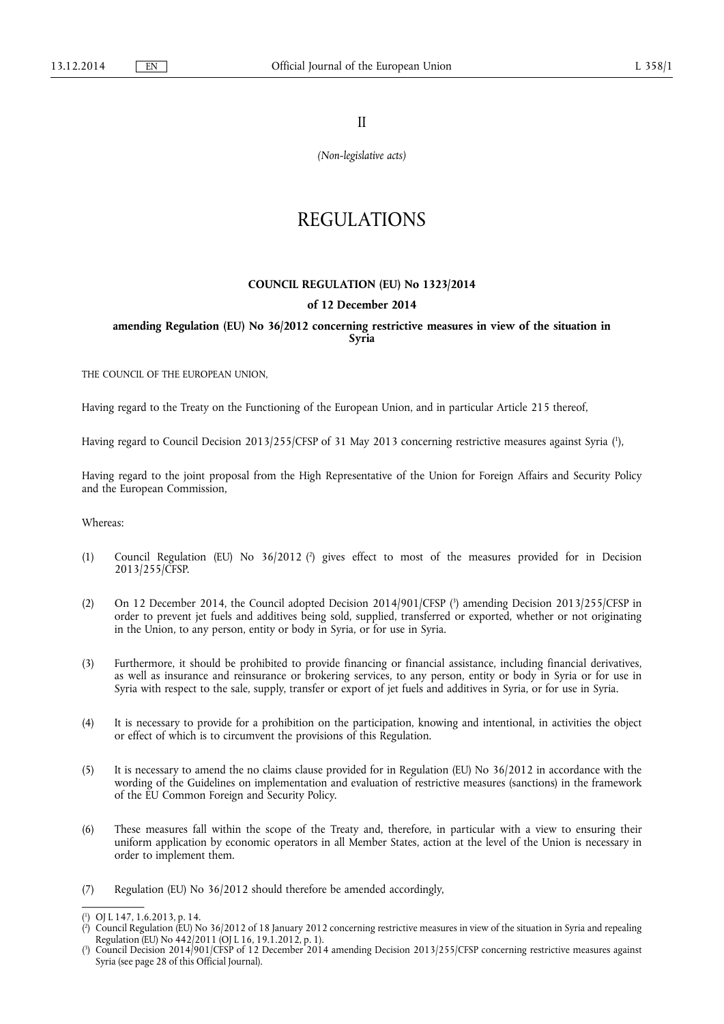II

*(Non-legislative acts)* 

# REGULATIONS

#### **COUNCIL REGULATION (EU) No 1323/2014**

### **of 12 December 2014**

**amending Regulation (EU) No 36/2012 concerning restrictive measures in view of the situation in Syria** 

THE COUNCIL OF THE EUROPEAN UNION,

Having regard to the Treaty on the Functioning of the European Union, and in particular Article 215 thereof,

Having regard to Council Decision 2013/255/CFSP of 31 May 2013 concerning restrictive measures against Syria (!),

Having regard to the joint proposal from the High Representative of the Union for Foreign Affairs and Security Policy and the European Commission,

Whereas:

- (1) Council Regulation (EU) No 36/2012 ( 2 ) gives effect to most of the measures provided for in Decision 2013/255/CFSP.
- (2) On 12 December 2014, the Council adopted Decision 2014/901/CFSP ( 3 ) amending Decision 2013/255/CFSP in order to prevent jet fuels and additives being sold, supplied, transferred or exported, whether or not originating in the Union, to any person, entity or body in Syria, or for use in Syria.
- (3) Furthermore, it should be prohibited to provide financing or financial assistance, including financial derivatives, as well as insurance and reinsurance or brokering services, to any person, entity or body in Syria or for use in Syria with respect to the sale, supply, transfer or export of jet fuels and additives in Syria, or for use in Syria.
- (4) It is necessary to provide for a prohibition on the participation, knowing and intentional, in activities the object or effect of which is to circumvent the provisions of this Regulation.
- (5) It is necessary to amend the no claims clause provided for in Regulation (EU) No 36/2012 in accordance with the wording of the Guidelines on implementation and evaluation of restrictive measures (sanctions) in the framework of the EU Common Foreign and Security Policy.
- (6) These measures fall within the scope of the Treaty and, therefore, in particular with a view to ensuring their uniform application by economic operators in all Member States, action at the level of the Union is necessary in order to implement them.
- (7) Regulation (EU) No 36/2012 should therefore be amended accordingly,

<sup>(</sup> 1 ) OJ L 147, 1.6.2013, p. 14.

<sup>(</sup> 2 ) Council Regulation (EU) No 36/2012 of 18 January 2012 concerning restrictive measures in view of the situation in Syria and repealing Regulation (EU) No 442/2011 (OJ L 16, 19.1.2012, p. 1).

<sup>(</sup> 3 ) Council Decision 2014/901/CFSP of 12 December 2014 amending Decision 2013/255/CFSP concerning restrictive measures against Syria (see page 28 of this Official Journal).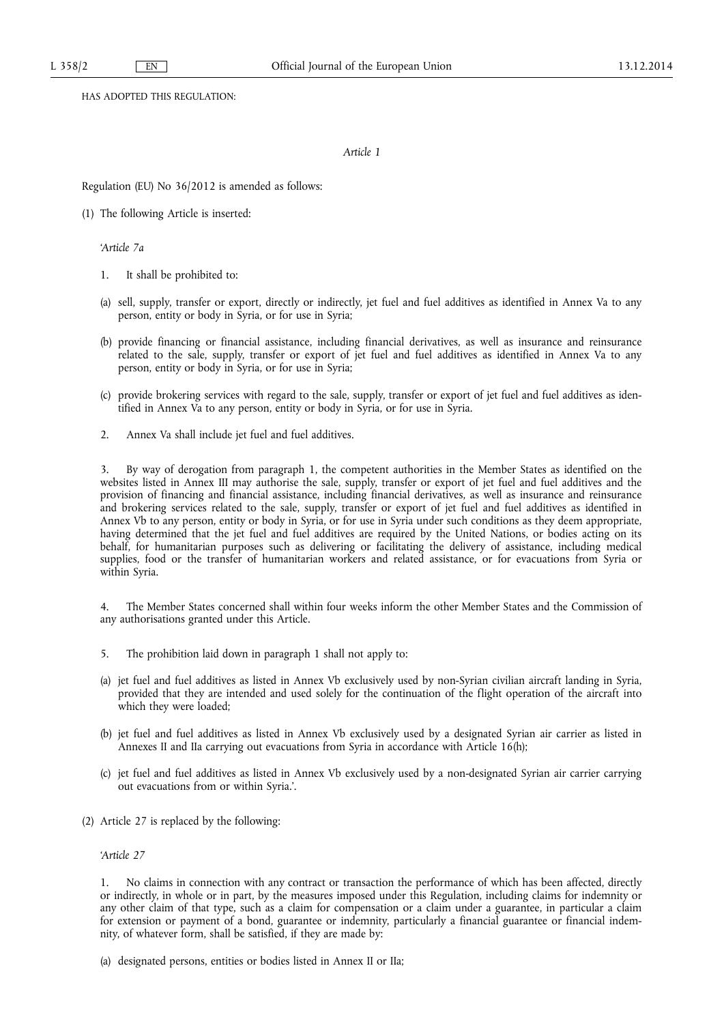HAS ADOPTED THIS REGULATION:

#### *Article 1*

Regulation (EU) No 36/2012 is amended as follows:

(1) The following Article is inserted:

*'Article 7a* 

- 1. It shall be prohibited to:
- (a) sell, supply, transfer or export, directly or indirectly, jet fuel and fuel additives as identified in Annex Va to any person, entity or body in Syria, or for use in Syria;
- (b) provide financing or financial assistance, including financial derivatives, as well as insurance and reinsurance related to the sale, supply, transfer or export of jet fuel and fuel additives as identified in Annex Va to any person, entity or body in Syria, or for use in Syria;
- (c) provide brokering services with regard to the sale, supply, transfer or export of jet fuel and fuel additives as identified in Annex Va to any person, entity or body in Syria, or for use in Syria.
- 2. Annex Va shall include jet fuel and fuel additives.

3. By way of derogation from paragraph 1, the competent authorities in the Member States as identified on the websites listed in Annex III may authorise the sale, supply, transfer or export of jet fuel and fuel additives and the provision of financing and financial assistance, including financial derivatives, as well as insurance and reinsurance and brokering services related to the sale, supply, transfer or export of jet fuel and fuel additives as identified in Annex Vb to any person, entity or body in Syria, or for use in Syria under such conditions as they deem appropriate, having determined that the jet fuel and fuel additives are required by the United Nations, or bodies acting on its behalf, for humanitarian purposes such as delivering or facilitating the delivery of assistance, including medical supplies, food or the transfer of humanitarian workers and related assistance, or for evacuations from Syria or within Syria.

4. The Member States concerned shall within four weeks inform the other Member States and the Commission of any authorisations granted under this Article.

- 5. The prohibition laid down in paragraph 1 shall not apply to:
- (a) jet fuel and fuel additives as listed in Annex Vb exclusively used by non-Syrian civilian aircraft landing in Syria, provided that they are intended and used solely for the continuation of the flight operation of the aircraft into which they were loaded;
- (b) jet fuel and fuel additives as listed in Annex Vb exclusively used by a designated Syrian air carrier as listed in Annexes II and IIa carrying out evacuations from Syria in accordance with Article 16(h);
- (c) jet fuel and fuel additives as listed in Annex Vb exclusively used by a non-designated Syrian air carrier carrying out evacuations from or within Syria.'.
- (2) Article 27 is replaced by the following:

*'Article 27* 

1. No claims in connection with any contract or transaction the performance of which has been affected, directly or indirectly, in whole or in part, by the measures imposed under this Regulation, including claims for indemnity or any other claim of that type, such as a claim for compensation or a claim under a guarantee, in particular a claim for extension or payment of a bond, guarantee or indemnity, particularly a financial guarantee or financial indemnity, of whatever form, shall be satisfied, if they are made by:

(a) designated persons, entities or bodies listed in Annex II or IIa;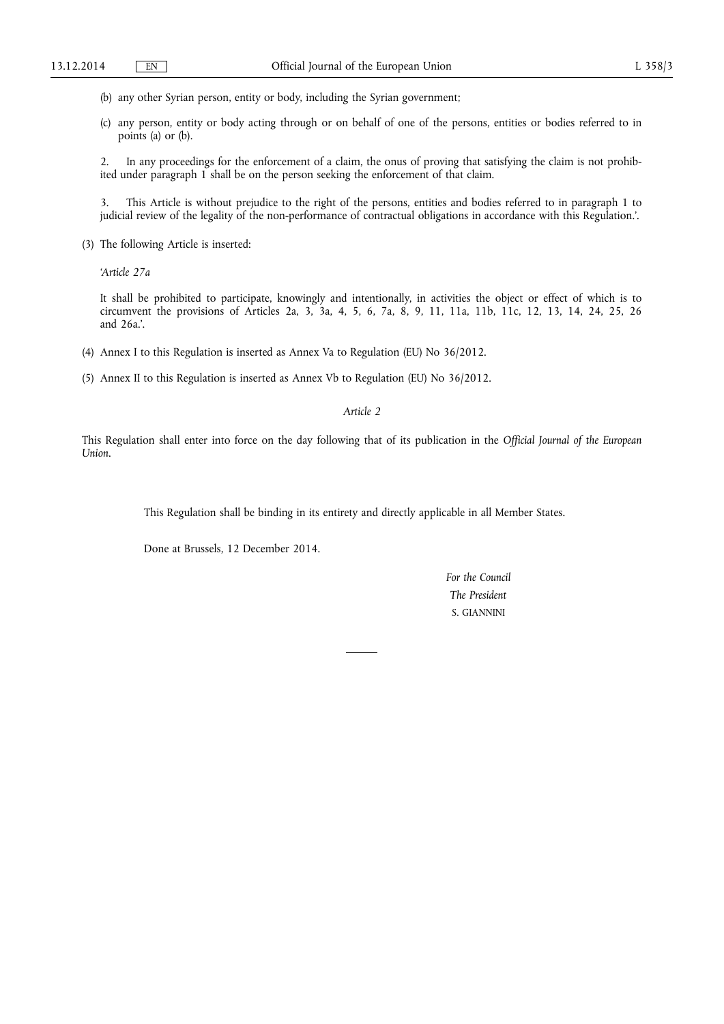- (b) any other Syrian person, entity or body, including the Syrian government;
- (c) any person, entity or body acting through or on behalf of one of the persons, entities or bodies referred to in points (a) or (b).

2. In any proceedings for the enforcement of a claim, the onus of proving that satisfying the claim is not prohibited under paragraph 1 shall be on the person seeking the enforcement of that claim.

3. This Article is without prejudice to the right of the persons, entities and bodies referred to in paragraph 1 to judicial review of the legality of the non-performance of contractual obligations in accordance with this Regulation.'.

(3) The following Article is inserted:

*'Article 27a* 

It shall be prohibited to participate, knowingly and intentionally, in activities the object or effect of which is to circumvent the provisions of Articles 2a, 3, 3a, 4, 5, 6, 7a, 8, 9, 11, 11a, 11b, 11c, 12, 13, 14, 24, 25, 26 and 26a.'.

- (4) Annex I to this Regulation is inserted as Annex Va to Regulation (EU) No 36/2012.
- (5) Annex II to this Regulation is inserted as Annex Vb to Regulation (EU) No 36/2012.

*Article 2* 

This Regulation shall enter into force on the day following that of its publication in the *Official Journal of the European Union*.

This Regulation shall be binding in its entirety and directly applicable in all Member States.

Done at Brussels, 12 December 2014.

*For the Council The President*  S. GIANNINI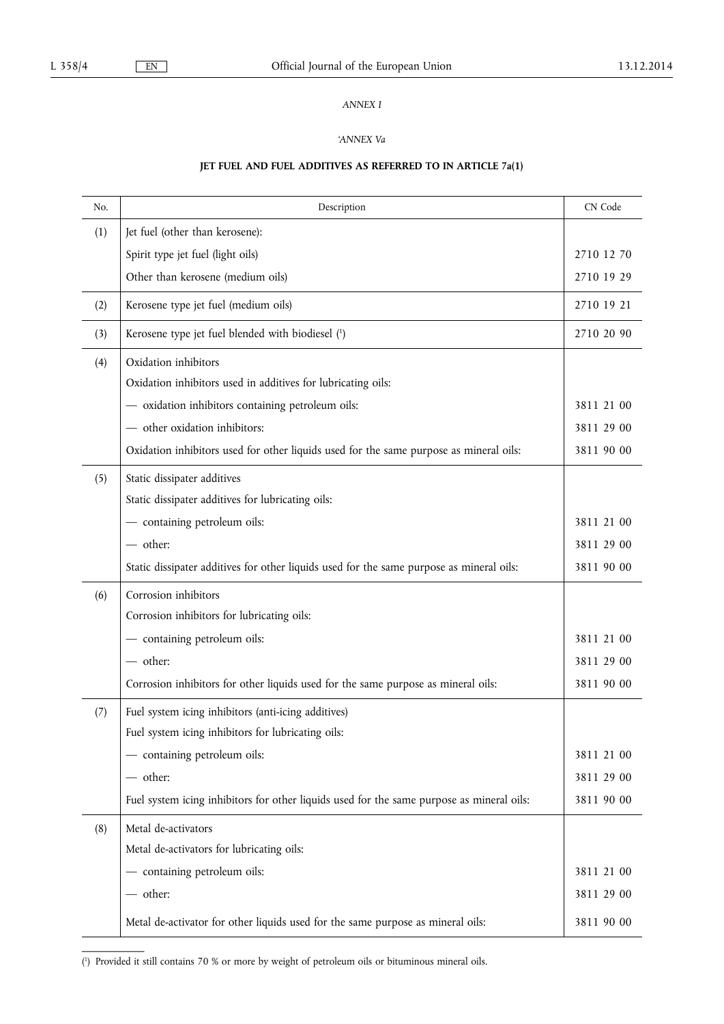# *ANNEX I*

# *'ANNEX Va*

# **JET FUEL AND FUEL ADDITIVES AS REFERRED TO IN ARTICLE 7a(1)**

| No. | Description                                                                               | CN Code    |
|-----|-------------------------------------------------------------------------------------------|------------|
| (1) | Jet fuel (other than kerosene):                                                           |            |
|     | Spirit type jet fuel (light oils)                                                         | 2710 12 70 |
|     | Other than kerosene (medium oils)                                                         | 2710 19 29 |
| (2) | Kerosene type jet fuel (medium oils)                                                      | 2710 19 21 |
| (3) | Kerosene type jet fuel blended with biodiesel (1)                                         | 2710 20 90 |
| (4) | Oxidation inhibitors                                                                      |            |
|     | Oxidation inhibitors used in additives for lubricating oils:                              |            |
|     | - oxidation inhibitors containing petroleum oils:                                         | 3811 21 00 |
|     | - other oxidation inhibitors:                                                             | 3811 29 00 |
|     | Oxidation inhibitors used for other liquids used for the same purpose as mineral oils:    | 3811 90 00 |
| (5) | Static dissipater additives                                                               |            |
|     | Static dissipater additives for lubricating oils:                                         |            |
|     | - containing petroleum oils:                                                              | 3811 21 00 |
|     | - other:                                                                                  | 3811 29 00 |
|     | Static dissipater additives for other liquids used for the same purpose as mineral oils:  | 3811 90 00 |
| (6) | Corrosion inhibitors                                                                      |            |
|     | Corrosion inhibitors for lubricating oils:                                                |            |
|     | - containing petroleum oils:                                                              | 3811 21 00 |
|     | - other:                                                                                  | 3811 29 00 |
|     | Corrosion inhibitors for other liquids used for the same purpose as mineral oils:         | 3811 90 00 |
| (7) | Fuel system icing inhibitors (anti-icing additives)                                       |            |
|     | Fuel system icing inhibitors for lubricating oils:                                        |            |
|     | - containing petroleum oils:                                                              | 3811 21 00 |
|     | - other:                                                                                  | 3811 29 00 |
|     | Fuel system icing inhibitors for other liquids used for the same purpose as mineral oils: | 3811 90 00 |
| (8) | Metal de-activators                                                                       |            |
|     | Metal de-activators for lubricating oils:                                                 |            |
|     | - containing petroleum oils:                                                              | 3811 21 00 |
|     | - other:                                                                                  | 3811 29 00 |
|     | Metal de-activator for other liquids used for the same purpose as mineral oils:           | 3811 90 00 |

( 1 ) Provided it still contains 70 % or more by weight of petroleum oils or bituminous mineral oils.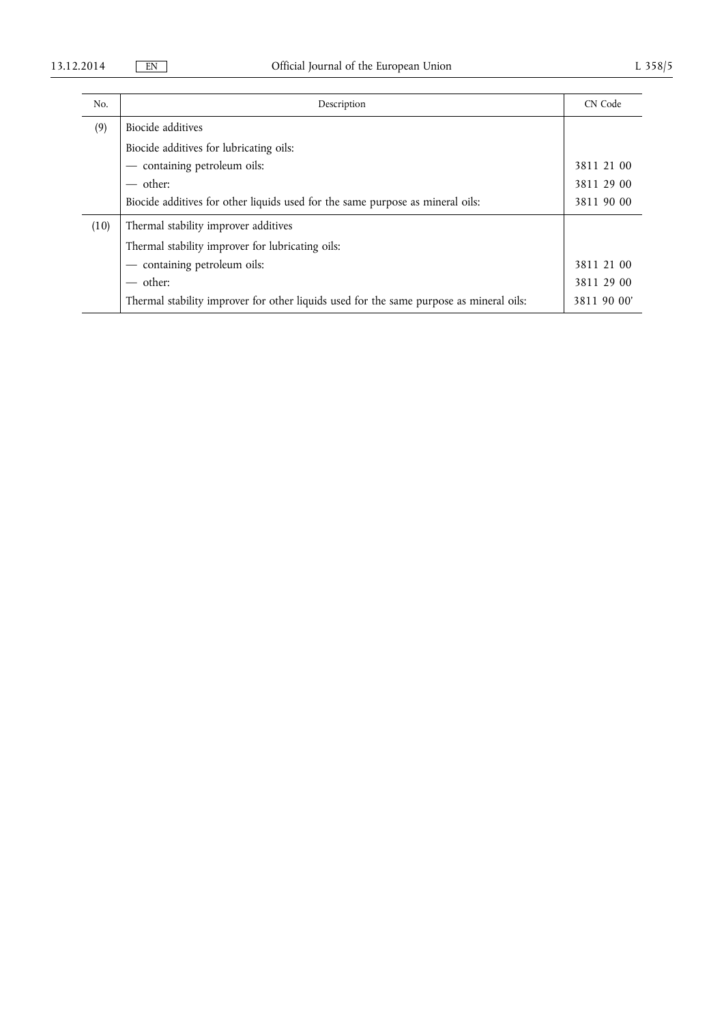| No.  | Description                                                                             | CN Code     |
|------|-----------------------------------------------------------------------------------------|-------------|
| (9)  | Biocide additives                                                                       |             |
|      | Biocide additives for lubricating oils:                                                 |             |
|      | - containing petroleum oils:                                                            | 3811 21 00  |
|      | $-$ other:                                                                              | 3811 29 00  |
|      | Biocide additives for other liquids used for the same purpose as mineral oils:          | 3811 90 00  |
| (10) | Thermal stability improver additives                                                    |             |
|      | Thermal stability improver for lubricating oils:                                        |             |
|      | - containing petroleum oils:                                                            | 3811 21 00  |
|      | $-$ other:                                                                              | 3811 29 00  |
|      | Thermal stability improver for other liquids used for the same purpose as mineral oils: | 3811 90 00' |